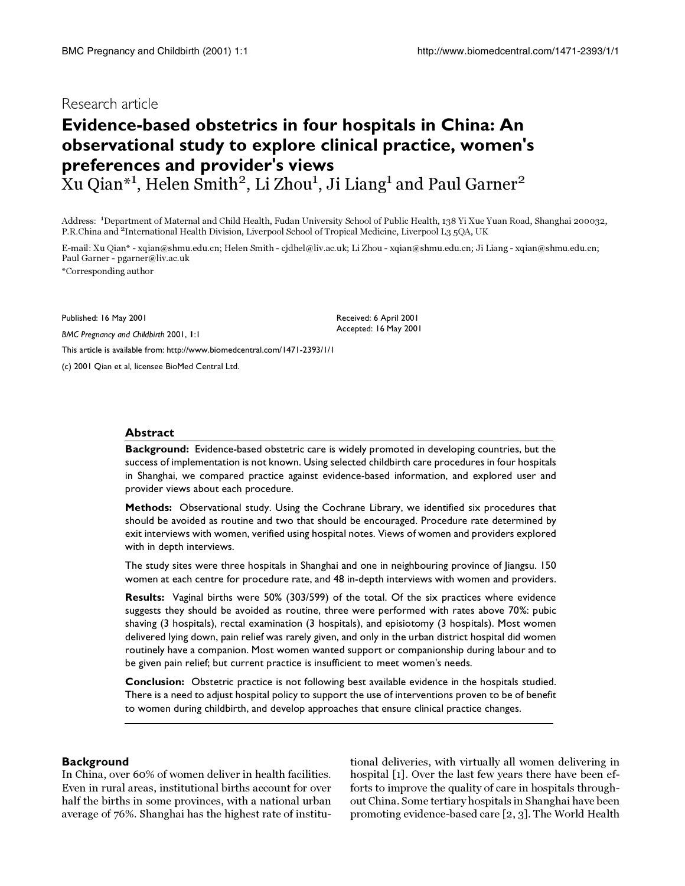# Besearch article

# **Evidence-based obstetrics in four hospitals in China: An observational study to explore clinical practice, women's preferences and provider's views**  $\mathrm{Xu}$  Qian $^{*1}$ , Helen Smith $^2$ , Li Zhou $^1$ , Ji Liang $^1$  and Paul Garner $^2$

Address: <sup>1</sup>Department of Maternal and Child Health, Fudan University School of Public Health, 138 Yi Xue Yuan Road, Shanghai 200032, P.R.China and 2International Health Division, Liverpool School of Tropical Medicine, Liverpool L3 5QA, UK

E-mail: Xu Qian\* - xqian@shmu.edu.cn; Helen Smith - cjdhel@liv.ac.uk; Li Zhou - xqian@shmu.edu.cn; Ji Liang - xqian@shmu.edu.cn; Paul Garner - pgarner@liv.ac.uk

> Received: 6 April 2001 Accepted: 16 May 2001

\*Corresponding author

Published: 16 May 2001

*BMC Pregnancy and Childbirth* 2001, **1**:1

[This article is available from: http://www.biomedcentral.com/1471-2393/1/1](http://www.biomedcentral.com/1471-2393/1/1)

(c) 2001 Qian et al, licensee BioMed Central Ltd.

## **Abstract**

**Background:** Evidence-based obstetric care is widely promoted in developing countries, but the success of implementation is not known. Using selected childbirth care procedures in four hospitals in Shanghai, we compared practice against evidence-based information, and explored user and provider views about each procedure.

**Methods:** Observational study. Using the Cochrane Library, we identified six procedures that should be avoided as routine and two that should be encouraged. Procedure rate determined by exit interviews with women, verified using hospital notes. Views of women and providers explored with in depth interviews.

The study sites were three hospitals in Shanghai and one in neighbouring province of Jiangsu. 150 women at each centre for procedure rate, and 48 in-depth interviews with women and providers.

**Results:** Vaginal births were 50% (303/599) of the total. Of the six practices where evidence suggests they should be avoided as routine, three were performed with rates above 70%: pubic shaving (3 hospitals), rectal examination (3 hospitals), and episiotomy (3 hospitals). Most women delivered lying down, pain relief was rarely given, and only in the urban district hospital did women routinely have a companion. Most women wanted support or companionship during labour and to be given pain relief; but current practice is insufficient to meet women's needs.

**Conclusion:** Obstetric practice is not following best available evidence in the hospitals studied. There is a need to adjust hospital policy to support the use of interventions proven to be of benefit to women during childbirth, and develop approaches that ensure clinical practice changes.

#### **Background**

In China, over 60% of women deliver in health facilities. Even in rural areas, institutional births account for over half the births in some provinces, with a national urban average of 76%. Shanghai has the highest rate of institutional deliveries, with virtually all women delivering in hospital [\[1\]](#page-5-0). Over the last few years there have been efforts to improve the quality of care in hospitals throughout China. Some tertiary hospitals in Shanghai have been promoting evidence-based care [[2](#page-5-1), [3](#page-5-2)]. The World Health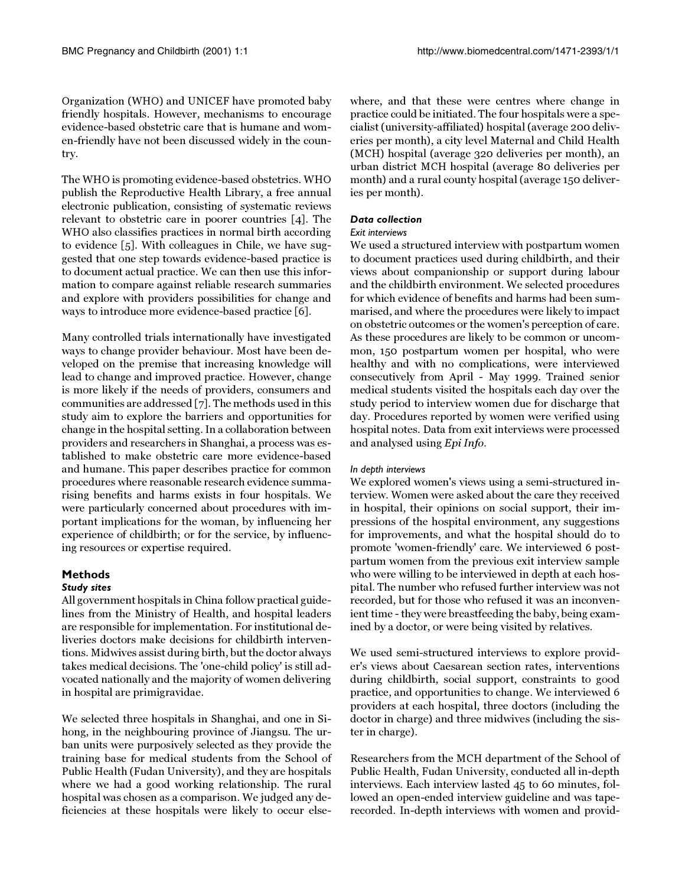Organization (WHO) and UNICEF have promoted baby friendly hospitals. However, mechanisms to encourage evidence-based obstetric care that is humane and women-friendly have not been discussed widely in the country.

The WHO is promoting evidence-based obstetrics. WHO publish the Reproductive Health Library, a free annual electronic publication, consisting of systematic reviews relevant to obstetric care in poorer countries [\[4](#page-6-0)]. The WHO also classifies practices in normal birth according to evidence [[5\]](#page-6-1). With colleagues in Chile, we have suggested that one step towards evidence-based practice is to document actual practice. We can then use this information to compare against reliable research summaries and explore with providers possibilities for change and ways to introduce more evidence-based practice [[6](#page-6-2)].

Many controlled trials internationally have investigated ways to change provider behaviour. Most have been developed on the premise that increasing knowledge will lead to change and improved practice. However, change is more likely if the needs of providers, consumers and communities are addressed [\[7](#page-6-3)]. The methods used in this study aim to explore the barriers and opportunities for change in the hospital setting. In a collaboration between providers and researchers in Shanghai, a process was established to make obstetric care more evidence-based and humane. This paper describes practice for common procedures where reasonable research evidence summarising benefits and harms exists in four hospitals. We were particularly concerned about procedures with important implications for the woman, by influencing her experience of childbirth; or for the service, by influencing resources or expertise required.

# **Methods**

# *Study sites*

All government hospitals in China follow practical guidelines from the Ministry of Health, and hospital leaders are responsible for implementation. For institutional deliveries doctors make decisions for childbirth interventions. Midwives assist during birth, but the doctor always takes medical decisions. The 'one-child policy' is still advocated nationally and the majority of women delivering in hospital are primigravidae.

We selected three hospitals in Shanghai, and one in Sihong, in the neighbouring province of Jiangsu. The urban units were purposively selected as they provide the training base for medical students from the School of Public Health (Fudan University), and they are hospitals where we had a good working relationship. The rural hospital was chosen as a comparison. We judged any deficiencies at these hospitals were likely to occur elsewhere, and that these were centres where change in practice could be initiated. The four hospitals were a specialist (university-affiliated) hospital (average 200 deliveries per month), a city level Maternal and Child Health (MCH) hospital (average 320 deliveries per month), an urban district MCH hospital (average 80 deliveries per month) and a rural county hospital (average 150 deliveries per month).

# *Data collection*

# *Exit interviews*

We used a structured interview with postpartum women to document practices used during childbirth, and their views about companionship or support during labour and the childbirth environment. We selected procedures for which evidence of benefits and harms had been summarised, and where the procedures were likely to impact on obstetric outcomes or the women's perception of care. As these procedures are likely to be common or uncommon, 150 postpartum women per hospital, who were healthy and with no complications, were interviewed consecutively from April - May 1999. Trained senior medical students visited the hospitals each day over the study period to interview women due for discharge that day. Procedures reported by women were verified using hospital notes. Data from exit interviews were processed and analysed using Epi Info.

#### *In depth interviews*

We explored women's views using a semi-structured interview. Women were asked about the care they received in hospital, their opinions on social support, their impressions of the hospital environment, any suggestions for improvements, and what the hospital should do to promote 'women-friendly' care. We interviewed 6 postpartum women from the previous exit interview sample who were willing to be interviewed in depth at each hospital. The number who refused further interview was not recorded, but for those who refused it was an inconvenient time - they were breastfeeding the baby, being examined by a doctor, or were being visited by relatives.

We used semi-structured interviews to explore provider's views about Caesarean section rates, interventions during childbirth, social support, constraints to good practice, and opportunities to change. We interviewed 6 providers at each hospital, three doctors (including the doctor in charge) and three midwives (including the sister in charge).

Researchers from the MCH department of the School of Public Health, Fudan University, conducted all in-depth interviews. Each interview lasted 45 to 60 minutes, followed an open-ended interview guideline and was taperecorded. In-depth interviews with women and provid-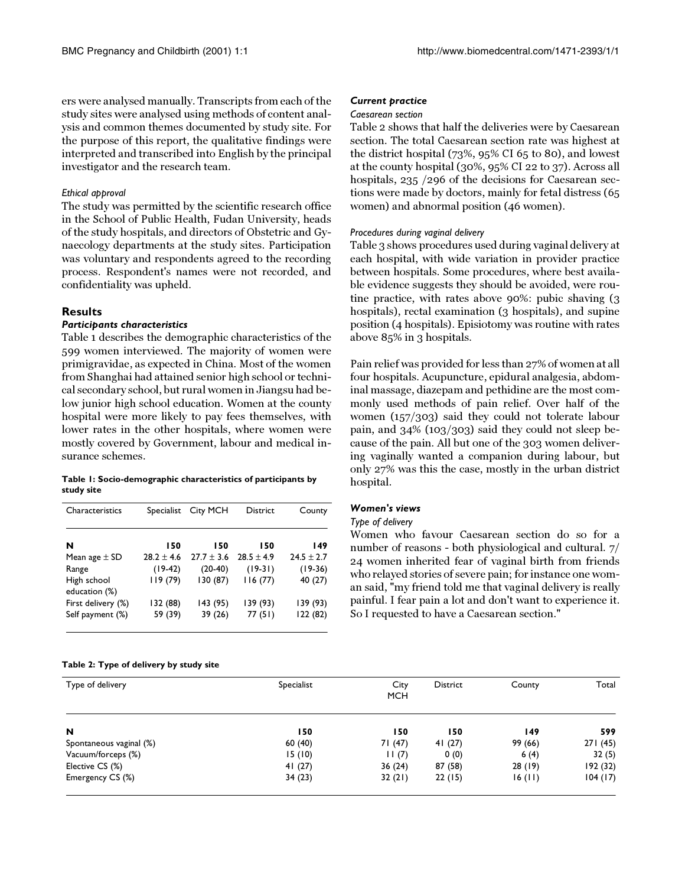ers were analysed manually. Transcripts from each of the study sites were analysed using methods of content analysis and common themes documented by study site. For the purpose of this report, the qualitative findings were interpreted and transcribed into English by the principal investigator and the research team.

#### *Ethical approval*

The study was permitted by the scientific research office in the School of Public Health, Fudan University, heads of the study hospitals, and directors of Obstetric and Gynaecology departments at the study sites. Participation was voluntary and respondents agreed to the recording process. Respondent's names were not recorded, and confidentiality was upheld.

#### **Results**

# *Participants characteristics*

<span id="page-2-0"></span>Table [1](#page-2-0) describes the demographic characteristics of the 599 women interviewed. The majority of women were primigravidae, as expected in China. Most of the women from Shanghai had attained senior high school or technical secondary school, but rural women in Jiangsu had below junior high school education. Women at the county hospital were more likely to pay fees themselves, with lower rates in the other hospitals, where women were mostly covered by Government, labour and medical insurance schemes.

#### **Table 1: Socio-demographic characteristics of participants by study site**

| Characteristics              | Specialist     | <b>City MCH</b> | <b>District</b> | County         |
|------------------------------|----------------|-----------------|-----------------|----------------|
| N                            | 150            | 150             | 150             | 149            |
| Mean age $\pm$ SD            | $28.2 \pm 4.6$ | $27.7 \pm 3.6$  | $28.5 \pm 4.9$  | $24.5 \pm 2.7$ |
| Range                        | $(19-42)$      | $(20-40)$       | $(19-31)$       | $(19-36)$      |
| High school<br>education (%) | 119(79)        | 130 (87)        | 116(77)         | 40 (27)        |
| First delivery (%)           | 132 (88)       | 143 (95)        | 139 (93)        | 139 (93)       |
| Self payment (%)             | 59 (39)        | 39 (26)         | 77(51)          | 122 (82)       |

#### **Table 2: Type of delivery by study site**

#### *Current practice*

#### *Caesarean section*

Table [2](#page-2-1) shows that half the deliveries were by Caesarean section. The total Caesarean section rate was highest at the district hospital (73%, 95% CI 65 to 80), and lowest at the county hospital (30%, 95% CI 22 to 37). Across all hospitals, 235 /296 of the decisions for Caesarean sections were made by doctors, mainly for fetal distress (65 women) and abnormal position (46 women).

#### *Procedures during vaginal delivery*

Table [3](#page-2-1) shows procedures used during vaginal delivery at each hospital, with wide variation in provider practice between hospitals. Some procedures, where best available evidence suggests they should be avoided, were routine practice, with rates above 90%: pubic shaving (3 hospitals), rectal examination (3 hospitals), and supine position (4 hospitals). Episiotomy was routine with rates above 85% in 3 hospitals.

Pain relief was provided for less than 27% of women at all four hospitals. Acupuncture, epidural analgesia, abdominal massage, diazepam and pethidine are the most commonly used methods of pain relief. Over half of the women (157/303) said they could not tolerate labour pain, and 34% (103/303) said they could not sleep because of the pain. All but one of the 303 women delivering vaginally wanted a companion during labour, but only 27% was this the case, mostly in the urban district hospital.

# *Women's views*

# *Type of delivery*

<span id="page-2-1"></span>Women who favour Caesarean section do so for a number of reasons - both physiological and cultural. 7/ 24 women inherited fear of vaginal birth from friends who relayed stories of severe pain; for instance one woman said, "my friend told me that vaginal delivery is really painful. I fear pain a lot and don't want to experience it. So I requested to have a Caesarean section."

| Type of delivery        | Specialist | City<br><b>MCH</b> | <b>District</b> | County  | Total   |
|-------------------------|------------|--------------------|-----------------|---------|---------|
| N                       | 150        | 150                | 150             | 149     | 599     |
| Spontaneous vaginal (%) | 60 (40)    | 71(47)             | 41(27)          | 99 (66) | 271(45) |
| Vacuum/forceps (%)      | 15(10)     | 11(7)              | 0(0)            | 6(4)    | 32(5)   |
| Elective CS (%)         | 41(27)     | 36(24)             | 87 (58)         | 28(19)  | 192(32) |
| Emergency CS (%)        | 34 (23)    | 32(21)             | 22(15)          | 16(11)  | 104(17) |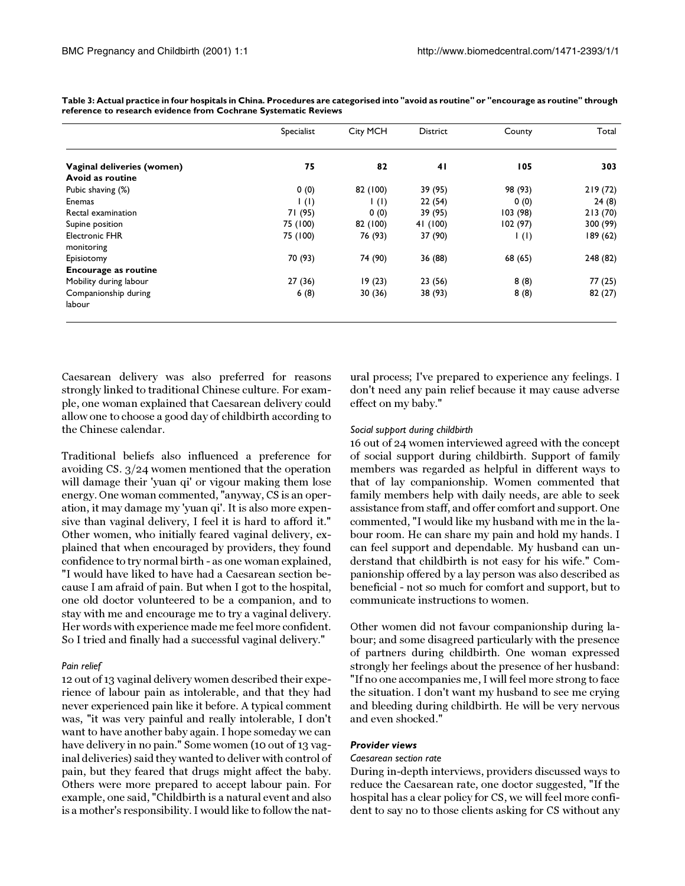| 82          | 41       |             |          |
|-------------|----------|-------------|----------|
|             |          | 105         | 303      |
|             |          |             |          |
| 82 (100)    | 39 (95)  | 98 (93)     | 219(72)  |
| $\vert$ (l) | 22(54)   | 0(0)        | 24(8)    |
| 0(0)        | 39 (95)  | 103(98)     | 213(70)  |
| 82 (100)    | 41 (100) | 102(97)     | 300 (99) |
| 76 (93)     | 37 (90)  | $\vert$ (l) | 189 (62) |
|             |          |             |          |
| 74 (90)     | 36 (88)  | 68 (65)     | 248 (82) |
|             |          |             |          |
| 19(23)      | 23 (56)  |             | 77(25)   |
| 30(36)      | 38 (93)  | 8(8)        | 82(27)   |
|             |          |             |          |
|             |          |             | 8(8)     |

**Table 3: Actual practice in four hospitals in China. Procedures are categorised into "avoid as routine" or "encourage as routine" through reference to research evidence from Cochrane Systematic Reviews**

Caesarean delivery was also preferred for reasons strongly linked to traditional Chinese culture. For example, one woman explained that Caesarean delivery could allow one to choose a good day of childbirth according to the Chinese calendar.

Traditional beliefs also influenced a preference for avoiding CS. 3/24 women mentioned that the operation will damage their 'yuan qi' or vigour making them lose energy. One woman commented, "anyway, CS is an operation, it may damage my 'yuan qi'. It is also more expensive than vaginal delivery, I feel it is hard to afford it." Other women, who initially feared vaginal delivery, explained that when encouraged by providers, they found confidence to try normal birth - as one woman explained, "I would have liked to have had a Caesarean section because I am afraid of pain. But when I got to the hospital, one old doctor volunteered to be a companion, and to stay with me and encourage me to try a vaginal delivery. Her words with experience made me feel more confident. So I tried and finally had a successful vaginal delivery."

#### *Pain relief*

12 out of 13 vaginal delivery women described their experience of labour pain as intolerable, and that they had never experienced pain like it before. A typical comment was, "it was very painful and really intolerable, I don't want to have another baby again. I hope someday we can have delivery in no pain." Some women (10 out of 13 vaginal deliveries) said they wanted to deliver with control of pain, but they feared that drugs might affect the baby. Others were more prepared to accept labour pain. For example, one said, "Childbirth is a natural event and also is a mother's responsibility. I would like to follow the nat-

ural process; I've prepared to experience any feelings. I don't need any pain relief because it may cause adverse effect on my baby."

# *Social support during childbirth*

16 out of 24 women interviewed agreed with the concept of social support during childbirth. Support of family members was regarded as helpful in different ways to that of lay companionship. Women commented that family members help with daily needs, are able to seek assistance from staff, and offer comfort and support. One commented, "I would like my husband with me in the labour room. He can share my pain and hold my hands. I can feel support and dependable. My husband can understand that childbirth is not easy for his wife." Companionship offered by a lay person was also described as beneficial - not so much for comfort and support, but to communicate instructions to women.

Other women did not favour companionship during labour; and some disagreed particularly with the presence of partners during childbirth. One woman expressed strongly her feelings about the presence of her husband: "If no one accompanies me, I will feel more strong to face the situation. I don't want my husband to see me crying and bleeding during childbirth. He will be very nervous and even shocked."

# *Provider views*

#### *Caesarean section rate*

During in-depth interviews, providers discussed ways to reduce the Caesarean rate, one doctor suggested, "If the hospital has a clear policy for CS, we will feel more confident to say no to those clients asking for CS without any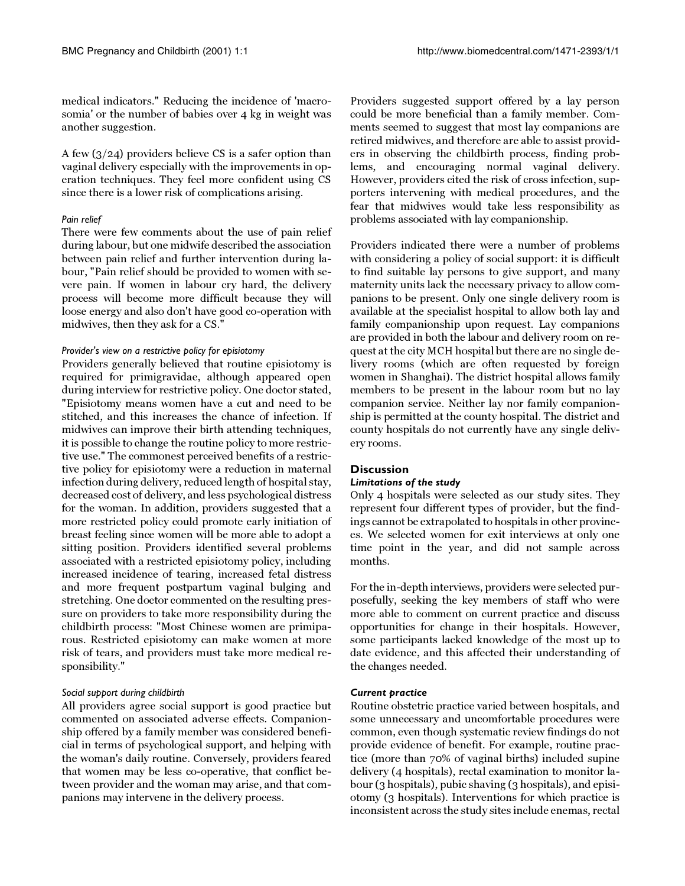medical indicators." Reducing the incidence of 'macrosomia' or the number of babies over 4 kg in weight was another suggestion.

A few  $(3/24)$  providers believe CS is a safer option than vaginal delivery especially with the improvements in operation techniques. They feel more confident using CS since there is a lower risk of complications arising.

# *Pain relief*

There were few comments about the use of pain relief during labour, but one midwife described the association between pain relief and further intervention during labour, "Pain relief should be provided to women with severe pain. If women in labour cry hard, the delivery process will become more difficult because they will loose energy and also don't have good co-operation with midwives, then they ask for a CS."

# *Provider's view on a restrictive policy for episiotomy*

Providers generally believed that routine episiotomy is required for primigravidae, although appeared open during interview for restrictive policy. One doctor stated, "Episiotomy means women have a cut and need to be stitched, and this increases the chance of infection. If midwives can improve their birth attending techniques, it is possible to change the routine policy to more restrictive use." The commonest perceived benefits of a restrictive policy for episiotomy were a reduction in maternal infection during delivery, reduced length of hospital stay, decreased cost of delivery, and less psychological distress for the woman. In addition, providers suggested that a more restricted policy could promote early initiation of breast feeling since women will be more able to adopt a sitting position. Providers identified several problems associated with a restricted episiotomy policy, including increased incidence of tearing, increased fetal distress and more frequent postpartum vaginal bulging and stretching. One doctor commented on the resulting pressure on providers to take more responsibility during the childbirth process: "Most Chinese women are primiparous. Restricted episiotomy can make women at more risk of tears, and providers must take more medical responsibility."

# *Social support during childbirth*

All providers agree social support is good practice but commented on associated adverse effects. Companionship offered by a family member was considered beneficial in terms of psychological support, and helping with the woman's daily routine. Conversely, providers feared that women may be less co-operative, that conflict between provider and the woman may arise, and that companions may intervene in the delivery process.

Providers suggested support offered by a lay person could be more beneficial than a family member. Comments seemed to suggest that most lay companions are retired midwives, and therefore are able to assist providers in observing the childbirth process, finding problems, and encouraging normal vaginal delivery. However, providers cited the risk of cross infection, supporters intervening with medical procedures, and the fear that midwives would take less responsibility as problems associated with lay companionship.

Providers indicated there were a number of problems with considering a policy of social support: it is difficult to find suitable lay persons to give support, and many maternity units lack the necessary privacy to allow companions to be present. Only one single delivery room is available at the specialist hospital to allow both lay and family companionship upon request. Lay companions are provided in both the labour and delivery room on request at the city MCH hospital but there are no single delivery rooms (which are often requested by foreign women in Shanghai). The district hospital allows family members to be present in the labour room but no lay companion service. Neither lay nor family companionship is permitted at the county hospital. The district and county hospitals do not currently have any single delivery rooms.

# **Discussion**

# *Limitations of the study*

Only 4 hospitals were selected as our study sites. They represent four different types of provider, but the findings cannot be extrapolated to hospitals in other provinces. We selected women for exit interviews at only one time point in the year, and did not sample across months.

For the in-depth interviews, providers were selected purposefully, seeking the key members of staff who were more able to comment on current practice and discuss opportunities for change in their hospitals. However, some participants lacked knowledge of the most up to date evidence, and this affected their understanding of the changes needed.

#### *Current practice*

Routine obstetric practice varied between hospitals, and some unnecessary and uncomfortable procedures were common, even though systematic review findings do not provide evidence of benefit. For example, routine practice (more than 70% of vaginal births) included supine delivery (4 hospitals), rectal examination to monitor labour (3 hospitals), pubic shaving (3 hospitals), and episiotomy (3 hospitals). Interventions for which practice is inconsistent across the study sites include enemas, rectal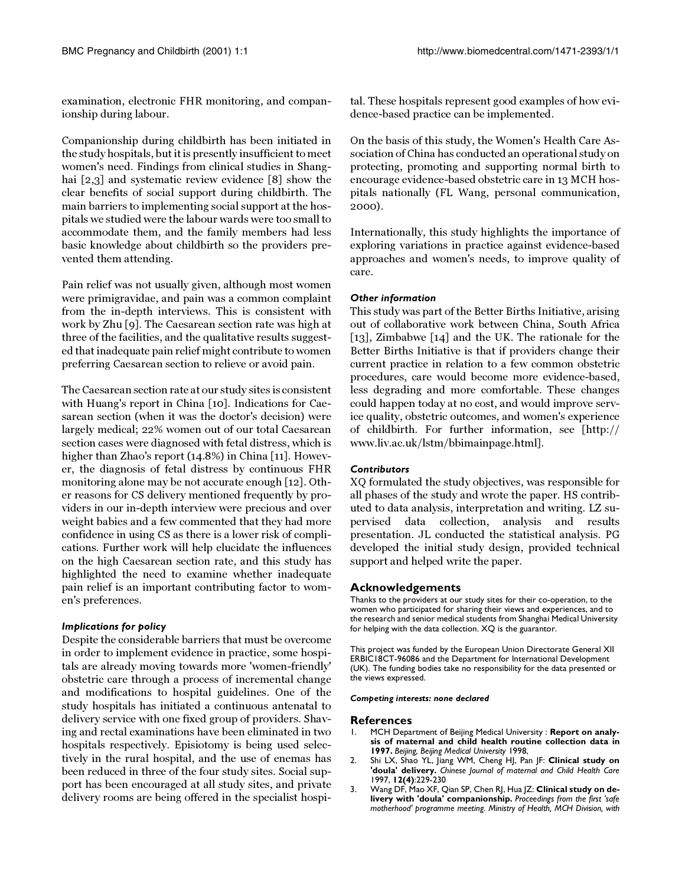examination, electronic FHR monitoring, and companionship during labour.

Companionship during childbirth has been initiated in the study hospitals, but it is presently insufficient to meet women's need. Findings from clinical studies in Shanghai [\[2](#page-5-1)[,3\]](#page-5-2) and systematic review evidence [\[8\]](#page-6-4) show the clear benefits of social support during childbirth. The main barriers to implementing social support at the hospitals we studied were the labour wards were too small to accommodate them, and the family members had less basic knowledge about childbirth so the providers prevented them attending.

Pain relief was not usually given, although most women were primigravidae, and pain was a common complaint from the in-depth interviews. This is consistent with work by Zhu [\[9\]](#page-6-5). The Caesarean section rate was high at three of the facilities, and the qualitative results suggested that inadequate pain relief might contribute to women preferring Caesarean section to relieve or avoid pain.

The Caesarean section rate at our study sites is consistent with Huang's report in China [[10\]](#page-6-6). Indications for Caesarean section (when it was the doctor's decision) were largely medical; 22% women out of our total Caesarean section cases were diagnosed with fetal distress, which is higher than Zhao's report (14.8%) in China [[11\]](#page-6-7). However, the diagnosis of fetal distress by continuous FHR monitoring alone may be not accurate enough [\[12\]](#page-6-8). Other reasons for CS delivery mentioned frequently by providers in our in-depth interview were precious and over weight babies and a few commented that they had more confidence in using CS as there is a lower risk of complications. Further work will help elucidate the influences on the high Caesarean section rate, and this study has highlighted the need to examine whether inadequate pain relief is an important contributing factor to women's preferences.

#### *Implications for policy*

Despite the considerable barriers that must be overcome in order to implement evidence in practice, some hospitals are already moving towards more 'women-friendly' obstetric care through a process of incremental change and modifications to hospital guidelines. One of the study hospitals has initiated a continuous antenatal to delivery service with one fixed group of providers. Shaving and rectal examinations have been eliminated in two hospitals respectively. Episiotomy is being used selectively in the rural hospital, and the use of enemas has been reduced in three of the four study sites. Social support has been encouraged at all study sites, and private delivery rooms are being offered in the specialist hospital. These hospitals represent good examples of how evidence-based practice can be implemented.

On the basis of this study, the Women's Health Care Association of China has conducted an operational study on protecting, promoting and supporting normal birth to encourage evidence-based obstetric care in 13 MCH hospitals nationally (FL Wang, personal communication, 2000).

Internationally, this study highlights the importance of exploring variations in practice against evidence-based approaches and women's needs, to improve quality of care.

#### *Other information*

This study was part of the Better Births Initiative, arising out of collaborative work between China, South Africa [[13](#page-6-9)], Zimbabwe [\[14](#page-6-10)] and the UK. The rationale for the Better Births Initiative is that if providers change their current practice in relation to a few common obstetric procedures, care would become more evidence-based, less degrading and more comfortable. These changes could happen today at no cost, and would improve service quality, obstetric outcomes, and women's experience of childbirth. For further information, see [http:// www.liv.ac.uk/lstm/bbimainpage.html].

#### *Contributors*

XQ formulated the study objectives, was responsible for all phases of the study and wrote the paper. HS contributed to data analysis, interpretation and writing. LZ supervised data collection, analysis and results presentation. JL conducted the statistical analysis. PG developed the initial study design, provided technical support and helped write the paper.

#### **Acknowledgements**

Thanks to the providers at our study sites for their co-operation, to the women who participated for sharing their views and experiences, and to the research and senior medical students from Shanghai Medical University for helping with the data collection. XQ is the guarantor.

This project was funded by the European Union Directorate General XII ERBIC18CT-96086 and the Department for International Development (UK). The funding bodies take no responsibility for the data presented or the views expressed.

#### *Competing interests: none declared*

#### **References**

- <span id="page-5-0"></span>1. MCH Department of Beijing Medical University : **Report on analysis of maternal and child health routine collection data in 1997.** *Beijing, Beijing Medical University* 1998,
- <span id="page-5-1"></span>2. Shi LX, Shao YL, Jiang WM, Cheng HJ, Pan JF: **Clinical study on 'doula' delivery.** *Chinese Journal of maternal and Child Health Care* 1997, **12(4)**:229-230
- <span id="page-5-2"></span>3. Wang DF, Mao XF, Qian SP, Chen RJ, Hua JZ: **Clinical study on delivery with 'doula' companionship.** *Proceedings from the first 'safe motherhood' programme meeting. Ministry of Health, MCH Division, with*